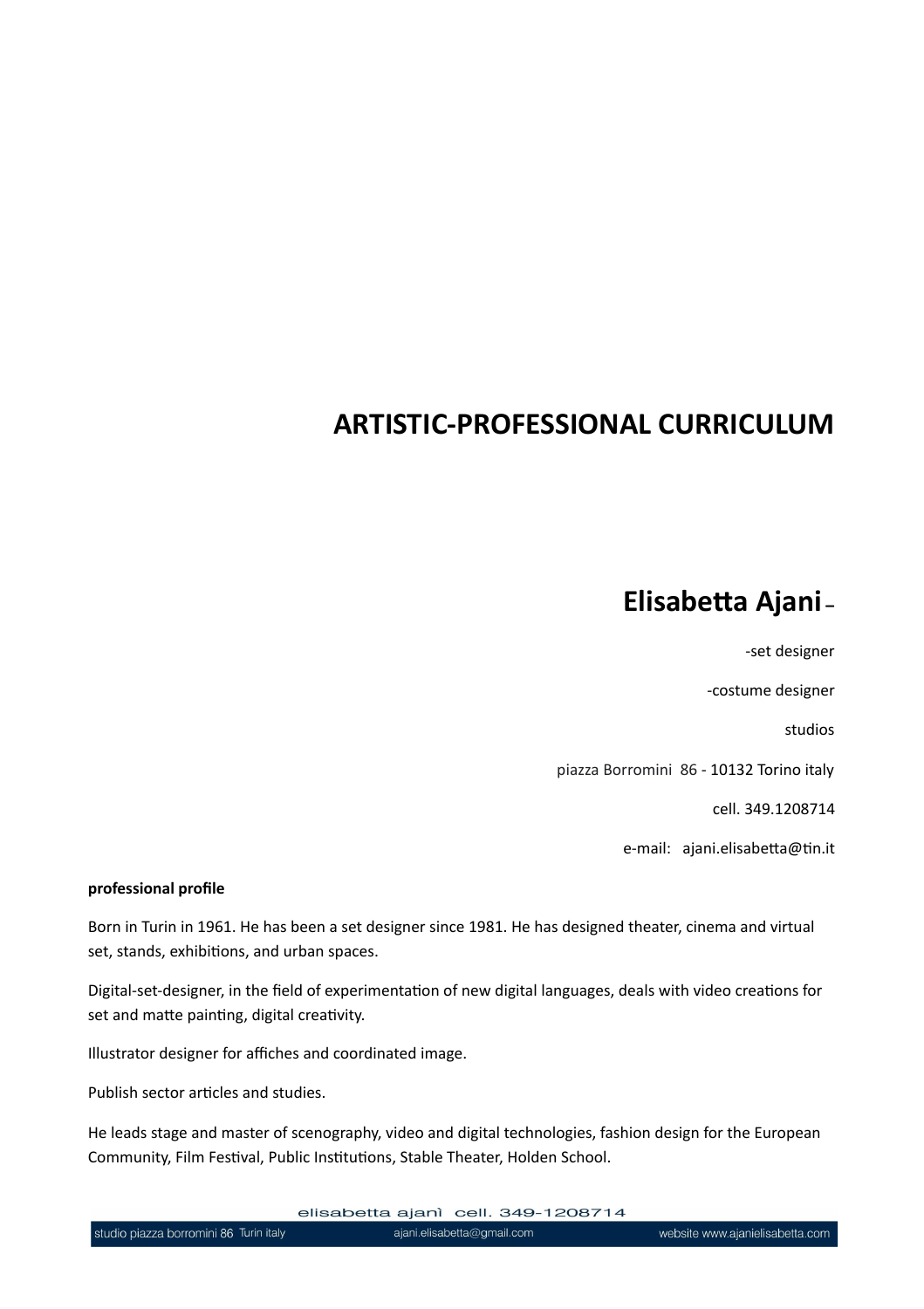## **ARTISTIC-PROFESSIONAL CURRICULUM**

# **Elisabetta Ajani –**

-set designer

-costume designer

studios

piazza Borromini 86 - 10132 Torino italy

cell. 349.1208714

e-mail: ajani.elisabetta@tin.it

#### **professional profile**

Born in Turin in 1961. He has been a set designer since 1981. He has designed theater, cinema and virtual set, stands, exhibitions, and urban spaces.

Digital-set-designer, in the field of experimentation of new digital languages, deals with video creations for set and matte painting, digital creativity.

Illustrator designer for affiches and coordinated image.

Publish sector articles and studies.

He leads stage and master of scenography, video and digital technologies, fashion design for the European Community, Film Festival, Public Institutions, Stable Theater, Holden School.

elisabetta ajanì cell. 349-1208714

ajani.elisabetta@gmail.com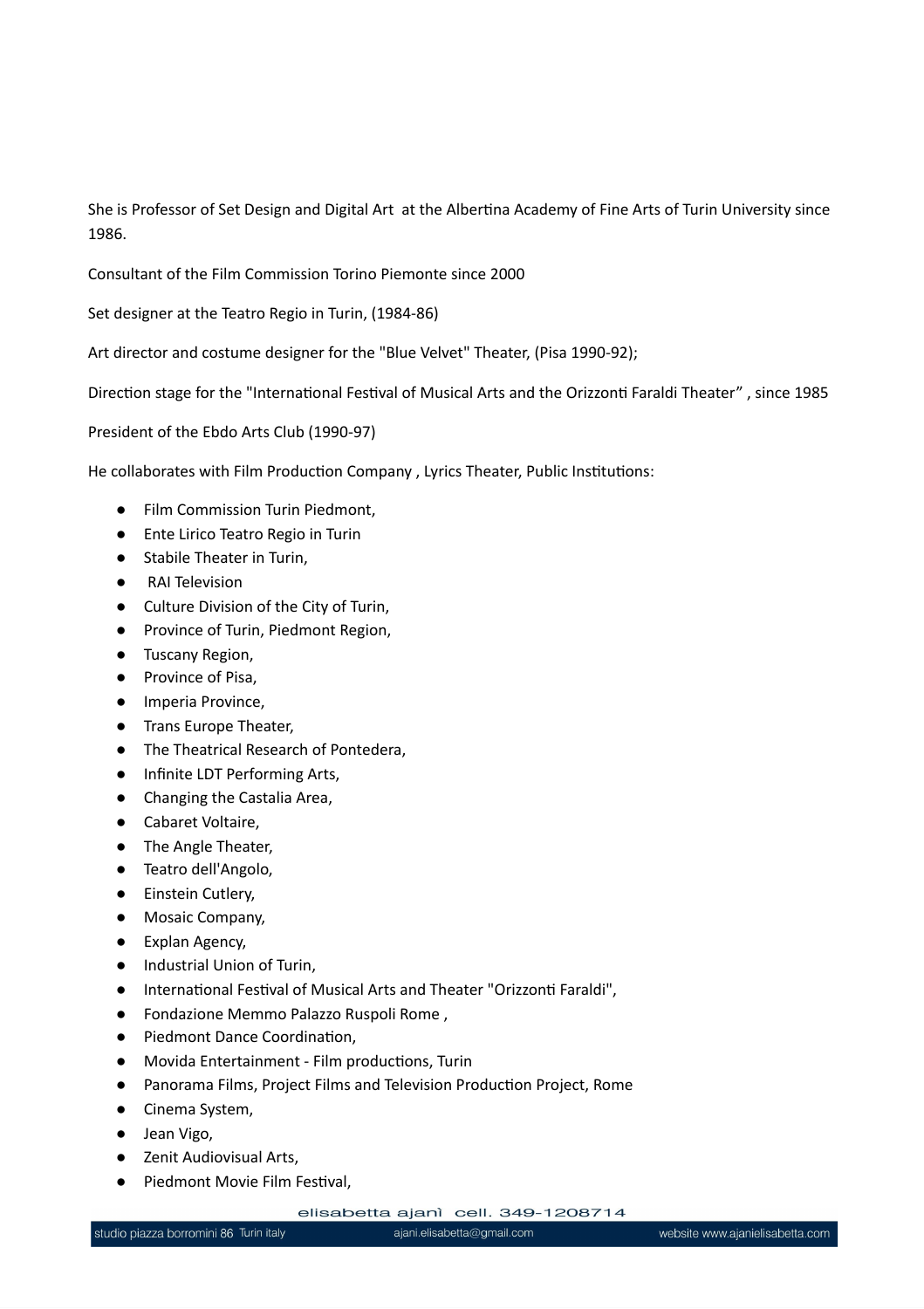She is Professor of Set Design and Digital Art at the Albertina Academy of Fine Arts of Turin University since 1986.

Consultant of the Film Commission Torino Piemonte since 2000

Set designer at the Teatro Regio in Turin, (1984-86)

Art director and costume designer for the "Blue Velvet" Theater, (Pisa 1990-92);

Direction stage for the "International Festival of Musical Arts and the Orizzonti Faraldi Theater" , since 1985

President of the Ebdo Arts Club (1990-97)

He collaborates with Film Production Company , Lyrics Theater, Public Institutions:

- Film Commission Turin Piedmont,
- Ente Lirico Teatro Regio in Turin
- Stabile Theater in Turin,
- RAI Television
- Culture Division of the City of Turin,
- Province of Turin, Piedmont Region,
- Tuscany Region,
- Province of Pisa,
- Imperia Province,
- Trans Europe Theater,
- The Theatrical Research of Pontedera,
- Infinite LDT Performing Arts,
- Changing the Castalia Area,
- Cabaret Voltaire,
- The Angle Theater,
- Teatro dell'Angolo,
- Einstein Cutlery,
- Mosaic Company,
- Explan Agency,
- Industrial Union of Turin,
- International Festival of Musical Arts and Theater "Orizzonti Faraldi",
- Fondazione Memmo Palazzo Ruspoli Rome ,
- Piedmont Dance Coordination,
- Movida Entertainment Film productions, Turin
- Panorama Films, Project Films and Television Production Project, Rome
- Cinema System,
- Jean Vigo,
- Zenit Audiovisual Arts,
- Piedmont Movie Film Festival,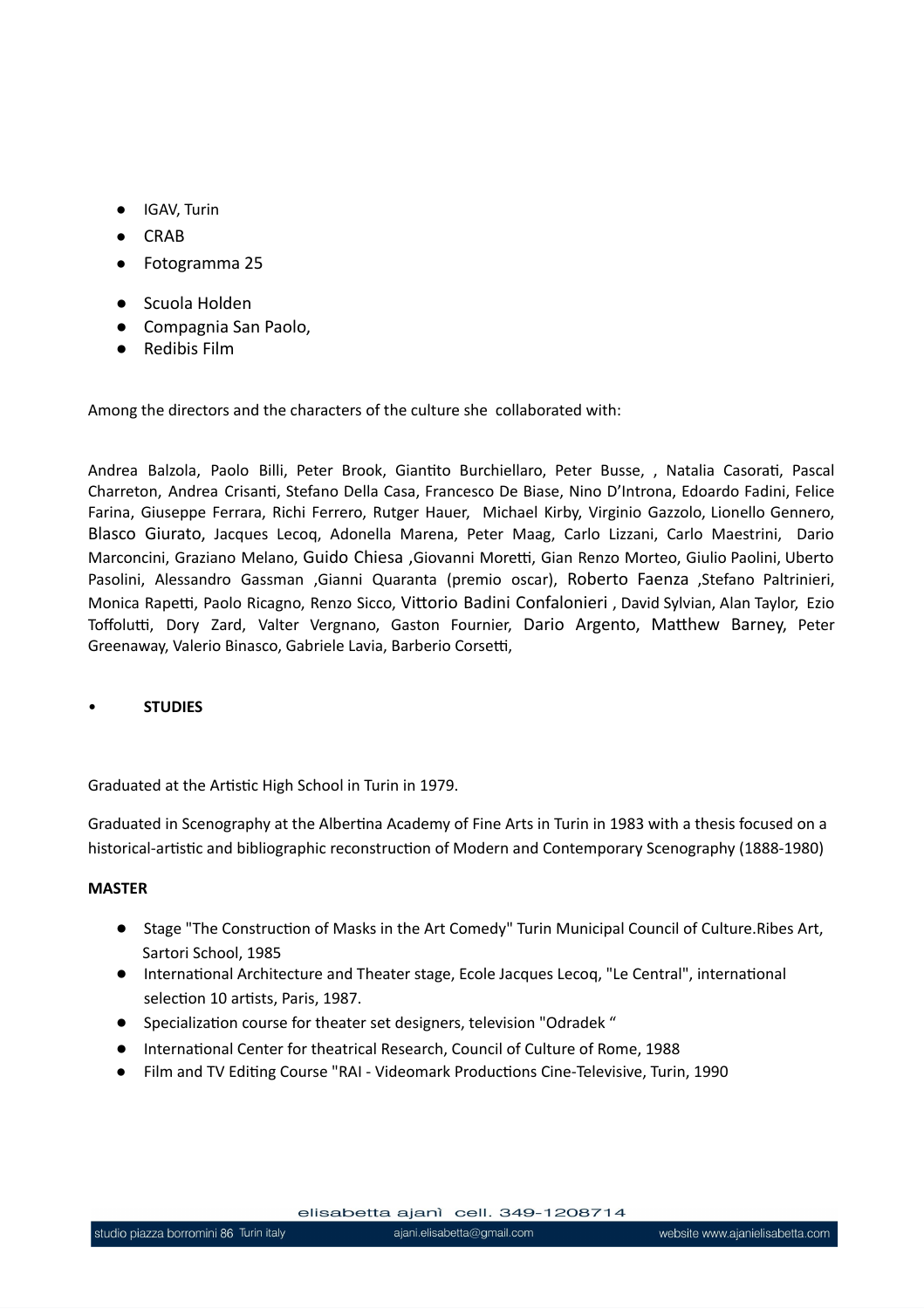- IGAV, Turin
- CRAB
- Fotogramma 25
- Scuola Holden
- Compagnia San Paolo,
- Redibis Film

Among the directors and the characters of the culture she collaborated with:

Andrea Balzola, Paolo Billi, Peter Brook, Giantito Burchiellaro, Peter Busse, , Natalia Casorati, Pascal Charreton, Andrea Crisanti, Stefano Della Casa, Francesco De Biase, Nino D'Introna, Edoardo Fadini, Felice Farina, Giuseppe Ferrara, Richi Ferrero, Rutger Hauer, Michael Kirby, Virginio Gazzolo, Lionello Gennero, Blasco Giurato, Jacques Lecoq, Adonella Marena, Peter Maag, Carlo Lizzani, Carlo Maestrini, Dario Marconcini, Graziano Melano, Guido Chiesa ,Giovanni Moretti, Gian Renzo Morteo, Giulio Paolini, Uberto Pasolini, Alessandro Gassman ,Gianni Quaranta (premio oscar), Roberto Faenza ,Stefano Paltrinieri, Monica Rapetti, Paolo Ricagno, Renzo Sicco, Vittorio Badini Confalonieri , David Sylvian, Alan Taylor, Ezio Toffolutti, Dory Zard, Valter Vergnano, Gaston Fournier, Dario Argento, Matthew Barney, Peter Greenaway, Valerio Binasco, Gabriele Lavia, Barberio Corsetti,

#### • **STUDIES**

Graduated at the Artistic High School in Turin in 1979.

Graduated in Scenography at the Albertina Academy of Fine Arts in Turin in 1983 with a thesis focused on a historical-artistic and bibliographic reconstruction of Modern and Contemporary Scenography (1888-1980)

#### **MASTER**

- Stage "The Construction of Masks in the Art Comedy" Turin Municipal Council of Culture.Ribes Art, Sartori School, 1985
- International Architecture and Theater stage, Ecole Jacques Lecoq, "Le Central", international selection 10 artists, Paris, 1987.
- Specialization course for theater set designers, television "Odradek "
- International Center for theatrical Research, Council of Culture of Rome, 1988
- Film and TV Editing Course "RAI Videomark Productions Cine-Televisive, Turin, 1990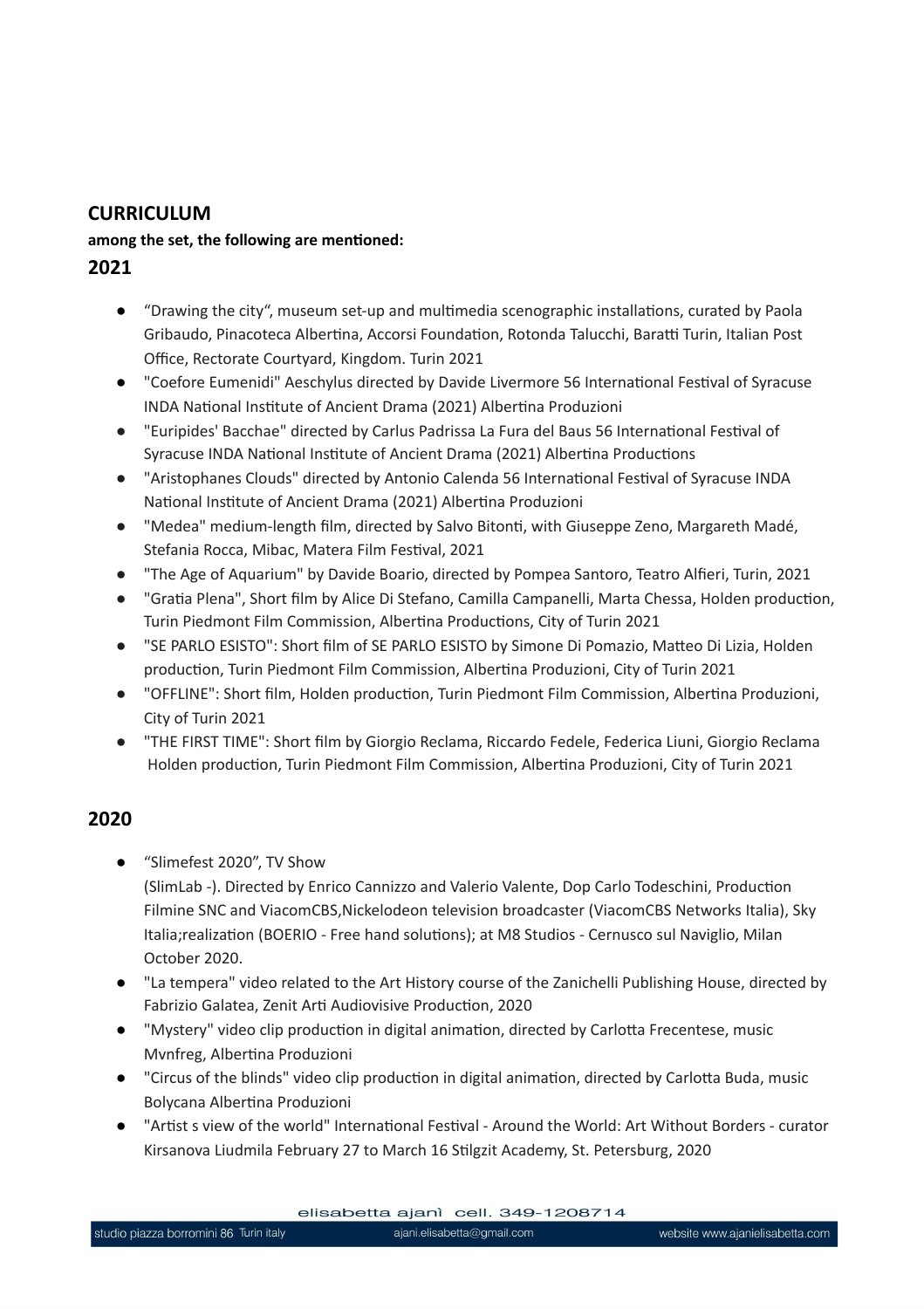### **CURRICULUM**

#### **among the set, the following are mentioned:**

- **2021**
	- **●** "Drawing the city", museum set-up and multimedia scenographic installations, curated by Paola Gribaudo, Pinacoteca Albertina, Accorsi Foundation, Rotonda Talucchi, Baratti Turin, Italian Post Office, Rectorate Courtyard, Kingdom. Turin 2021
	- **●** "Coefore Eumenidi" Aeschylus directed by Davide Livermore 56 International Festival of Syracuse INDA National Institute of Ancient Drama (2021) Albertina Produzioni
	- "Euripides' Bacchae" directed by Carlus Padrissa La Fura del Baus 56 International Festival of Syracuse INDA National Institute of Ancient Drama (2021) Albertina Productions
	- "Aristophanes Clouds" directed by Antonio Calenda 56 International Festival of Syracuse INDA National Institute of Ancient Drama (2021) Albertina Produzioni
	- "Medea" medium-length film, directed by Salvo Bitonti, with Giuseppe Zeno, Margareth Madé, Stefania Rocca, Mibac, Matera Film Festival, 2021
	- "The Age of Aquarium" by Davide Boario, directed by Pompea Santoro, Teatro Alfieri, Turin, 2021
	- "Gratia Plena", Short film by Alice Di Stefano, Camilla Campanelli, Marta Chessa, Holden production, Turin Piedmont Film Commission, Albertina Productions, City of Turin 2021
	- "SE PARLO ESISTO": Short film of SE PARLO ESISTO by Simone Di Pomazio, Matteo Di Lizia, Holden production, Turin Piedmont Film Commission, Albertina Produzioni, City of Turin 2021
	- "OFFLINE": Short film, Holden production, Turin Piedmont Film Commission, Albertina Produzioni, City of Turin 2021
	- "THE FIRST TIME": Short film by Giorgio Reclama, Riccardo Fedele, Federica Liuni, Giorgio Reclama Holden production, Turin Piedmont Film Commission, Albertina Produzioni, City of Turin 2021

## **2020**

**●** "Slimefest 2020", TV Show

(SlimLab -). Directed by Enrico Cannizzo and Valerio Valente, Dop Carlo Todeschini, Production Filmine SNC and ViacomCBS,Nickelodeon television broadcaster (ViacomCBS Networks Italia), Sky Italia;realization (BOERIO - Free hand solutions); at M8 Studios - Cernusco sul Naviglio, Milan October 2020.

- **●** "La tempera" video related to the Art History course of the Zanichelli Publishing House, directed by Fabrizio Galatea, Zenit Arti Audiovisive Production, 2020
- **●** "Mystery" video clip production in digital animation, directed by Carlotta Frecentese, music Mvnfreg, Albertina Produzioni
- **●** "Circus of the blinds" video clip production in digital animation, directed by Carlotta Buda, music Bolycana Albertina Produzioni
- **●** "Artist s view of the world" International Festival Around the World: Art Without Borders curator Kirsanova Liudmila February 27 to March 16 Stilgzit Academy, St. Petersburg, 2020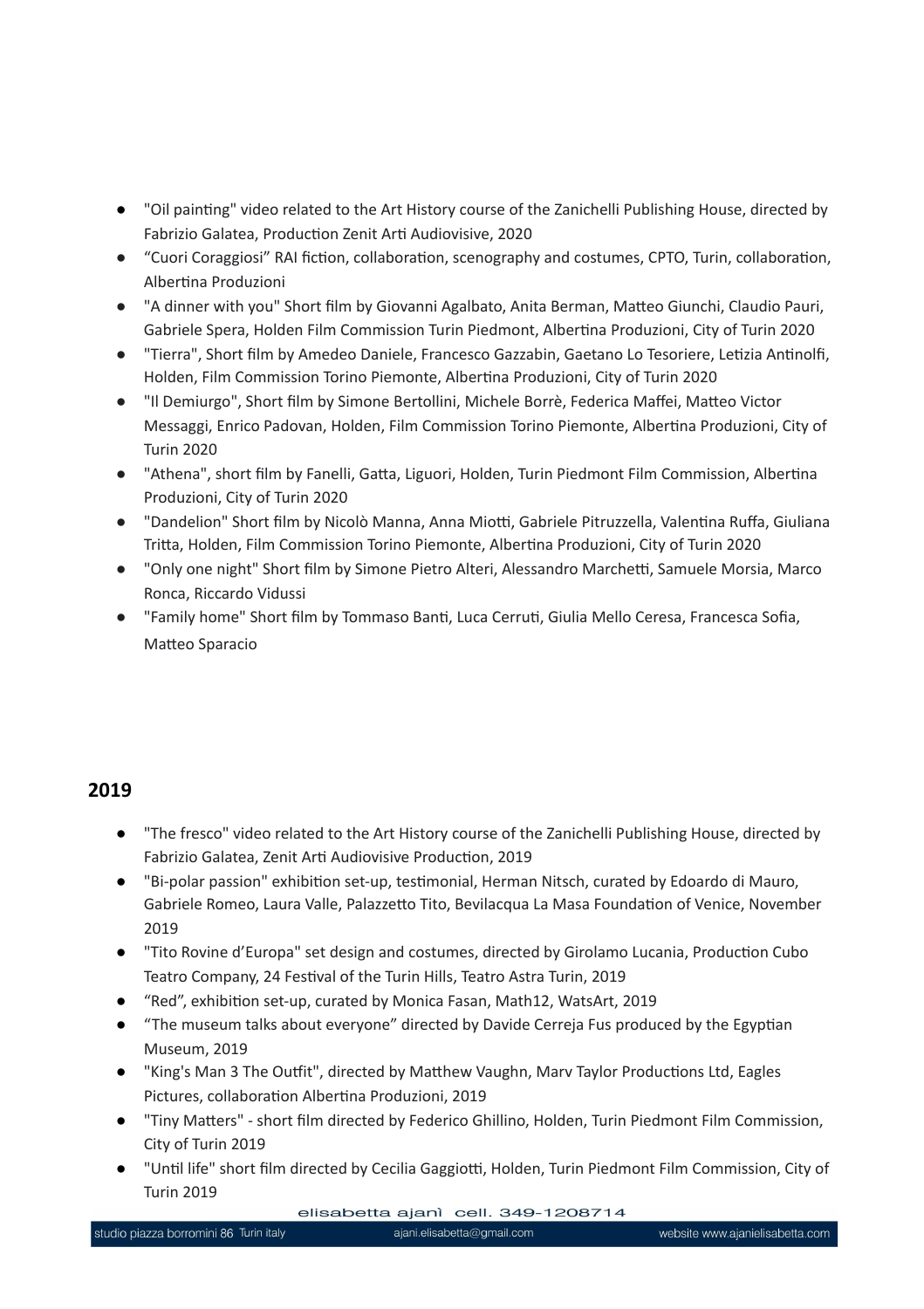- **●** "Oil painting" video related to the Art History course of the Zanichelli Publishing House, directed by Fabrizio Galatea, Production Zenit Arti Audiovisive, 2020
- "Cuori Coraggiosi" RAI fiction, collaboration, scenography and costumes, CPTO, Turin, collaboration, Albertina Produzioni
- "A dinner with you" Short film by Giovanni Agalbato, Anita Berman, Matteo Giunchi, Claudio Pauri, Gabriele Spera, Holden Film Commission Turin Piedmont, Albertina Produzioni, City of Turin 2020
- "Tierra", Short film by Amedeo Daniele, Francesco Gazzabin, Gaetano Lo Tesoriere, Letizia Antinolfi, Holden, Film Commission Torino Piemonte, Albertina Produzioni, City of Turin 2020
- "Il Demiurgo", Short film by Simone Bertollini, Michele Borrè, Federica Maffei, Matteo Victor Messaggi, Enrico Padovan, Holden, Film Commission Torino Piemonte, Albertina Produzioni, City of Turin 2020
- "Athena", short film by Fanelli, Gatta, Liguori, Holden, Turin Piedmont Film Commission, Albertina Produzioni, City of Turin 2020
- "Dandelion" Short film by Nicolò Manna, Anna Miotti, Gabriele Pitruzzella, Valentina Ruffa, Giuliana Tritta, Holden, Film Commission Torino Piemonte, Albertina Produzioni, City of Turin 2020
- "Only one night" Short film by Simone Pietro Alteri, Alessandro Marchetti, Samuele Morsia, Marco Ronca, Riccardo Vidussi
- "Family home" Short film by Tommaso Banti, Luca Cerruti, Giulia Mello Ceresa, Francesca Sofia, Matteo Sparacio

#### **2019**

- **●** "The fresco" video related to the Art History course of the Zanichelli Publishing House, directed by Fabrizio Galatea, Zenit Arti Audiovisive Production, 2019
- **●** "Bi-polar passion" exhibition set-up, testimonial, Herman Nitsch, curated by Edoardo di Mauro, Gabriele Romeo, Laura Valle, Palazzetto Tito, Bevilacqua La Masa Foundation of Venice, November 2019
- **●** "Tito Rovine d'Europa" set design and costumes, directed by Girolamo Lucania, Production Cubo Teatro Company, 24 Festival of the Turin Hills, Teatro Astra Turin, 2019
- **●** "Red", exhibition set-up, curated by Monica Fasan, Math12, WatsArt, 2019
- **●** "The museum talks about everyone" directed by Davide Cerreja Fus produced by the Egyptian Museum, 2019
- **●** "King's Man 3 The Outfit", directed by Matthew Vaughn, Marv Taylor Productions Ltd, Eagles Pictures, collaboration Albertina Produzioni, 2019
- **●** "Tiny Matters" short film directed by Federico Ghillino, Holden, Turin Piedmont Film Commission, City of Turin 2019
- **●** "Until life" short film directed by Cecilia Gaggiotti, Holden, Turin Piedmont Film Commission, City of Turin 2019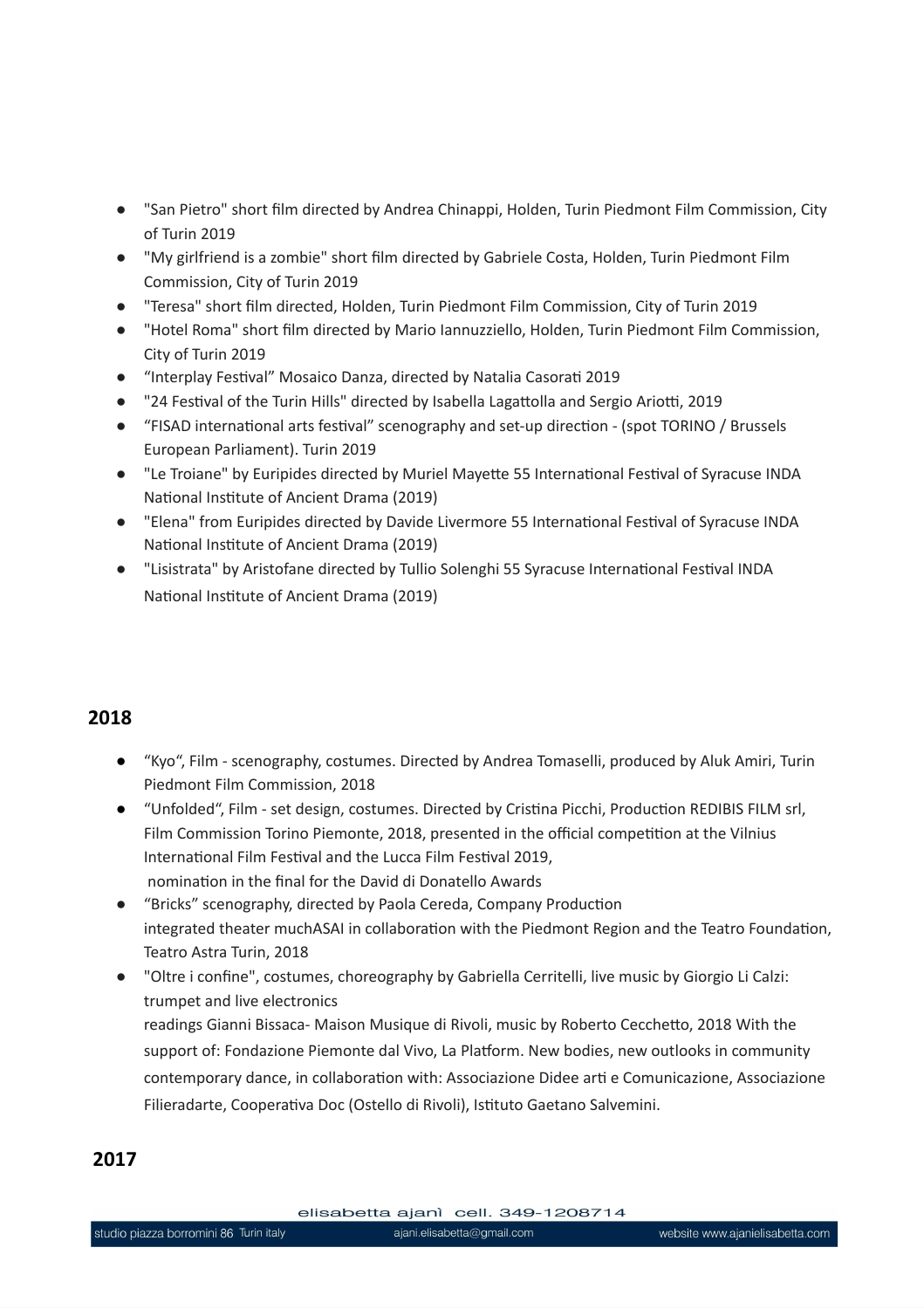- "San Pietro" short film directed by Andrea Chinappi, Holden, Turin Piedmont Film Commission, City of Turin 2019
- "My girlfriend is a zombie" short film directed by Gabriele Costa, Holden, Turin Piedmont Film Commission, City of Turin 2019
- "Teresa" short film directed, Holden, Turin Piedmont Film Commission, City of Turin 2019
- "Hotel Roma" short film directed by Mario Iannuzziello, Holden, Turin Piedmont Film Commission, City of Turin 2019
- "Interplay Festival" Mosaico Danza, directed by Natalia Casorati 2019
- "24 Festival of the Turin Hills" directed by Isabella Lagattolla and Sergio Ariotti, 2019
- "FISAD international arts festival" scenography and set-up direction (spot TORINO / Brussels European Parliament). Turin 2019
- "Le Troiane" by Euripides directed by Muriel Mayette 55 International Festival of Syracuse INDA National Institute of Ancient Drama (2019)
- "Elena" from Euripides directed by Davide Livermore 55 International Festival of Syracuse INDA National Institute of Ancient Drama (2019)
- "Lisistrata" by Aristofane directed by Tullio Solenghi 55 Syracuse International Festival INDA National Institute of Ancient Drama (2019)

## **2018**

- **●** "Kyo", Film scenography, costumes. Directed by Andrea Tomaselli, produced by Aluk Amiri, Turin Piedmont Film Commission, 2018
- **●** "Unfolded", Film set design, costumes. Directed by Cristina Picchi, Production REDIBIS FILM srl, Film Commission Torino Piemonte, 2018, presented in the official competition at the Vilnius International Film Festival and the Lucca Film Festival 2019, nomination in the final for the David di Donatello Awards
- "Bricks" scenography, directed by Paola Cereda, Company Production integrated theater muchASAI in collaboration with the Piedmont Region and the Teatro Foundation, Teatro Astra Turin, 2018
- "Oltre i confine", costumes, choreography by Gabriella Cerritelli, live music by Giorgio Li Calzi: trumpet and live electronics readings Gianni Bissaca- Maison Musique di Rivoli, music by Roberto Cecchetto, 2018 With the support of: Fondazione Piemonte dal Vivo, La Platform. New bodies, new outlooks in community contemporary dance, in collaboration with: Associazione Didee arti e Comunicazione, Associazione Filieradarte, Cooperativa Doc (Ostello di Rivoli), Istituto Gaetano Salvemini.

## **2017**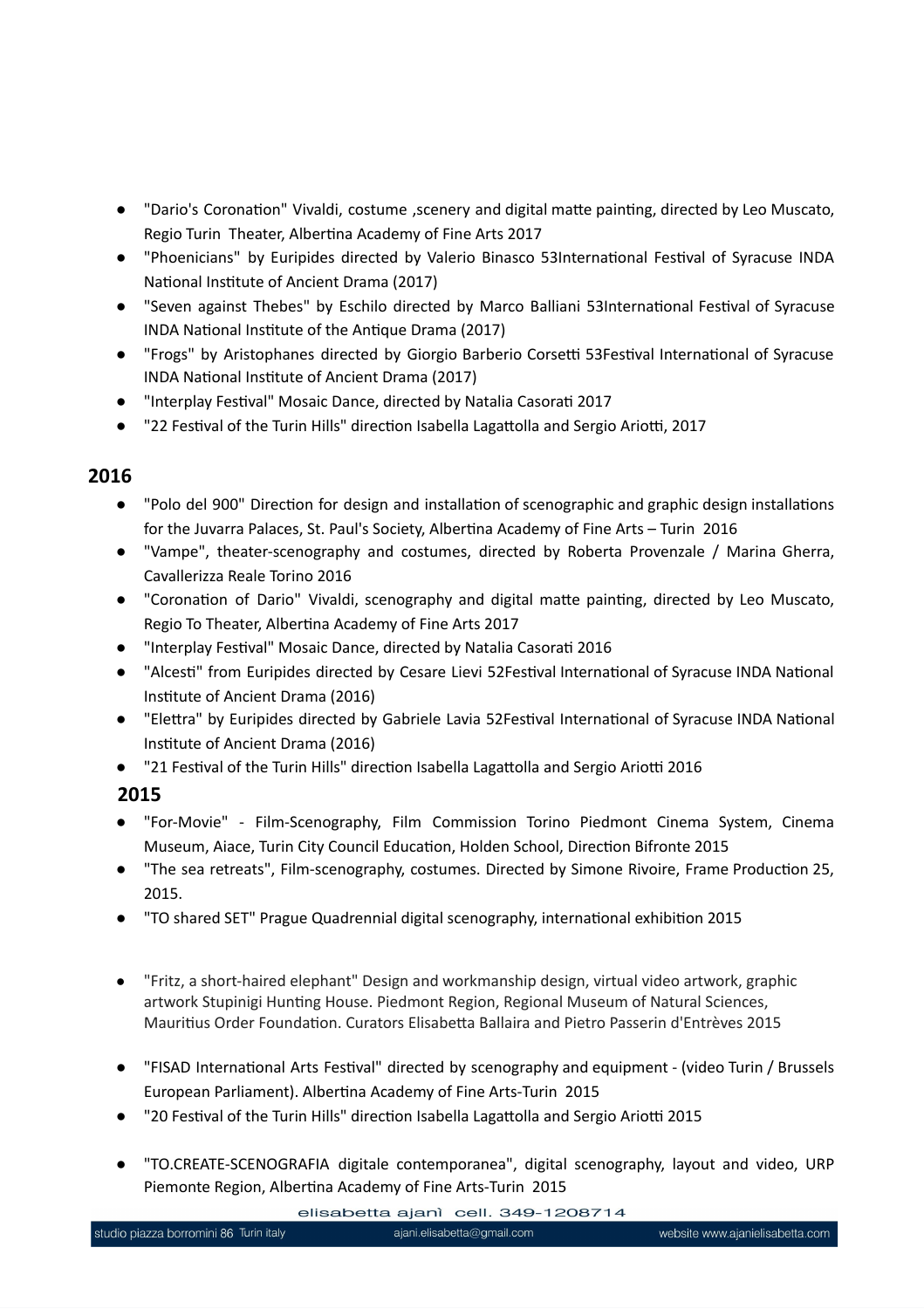- "Dario's Coronation" Vivaldi, costume , scenery and digital matte painting, directed by Leo Muscato, Regio Turin Theater, Albertina Academy of Fine Arts 2017
- "Phoenicians" by Euripides directed by Valerio Binasco 53International Festival of Syracuse INDA National Institute of Ancient Drama (2017)
- "Seven against Thebes" by Eschilo directed by Marco Balliani 53International Festival of Syracuse INDA National Institute of the Antique Drama (2017)
- "Frogs" by Aristophanes directed by Giorgio Barberio Corsetti 53Festival International of Syracuse INDA National Institute of Ancient Drama (2017)
- "Interplay Festival" Mosaic Dance, directed by Natalia Casorati 2017
- "22 Festival of the Turin Hills" direction Isabella Lagattolla and Sergio Ariotti, 2017

## **2016**

- "Polo del 900" Direction for design and installation of scenographic and graphic design installations for the Juvarra Palaces, St. Paul's Society, Albertina Academy of Fine Arts – Turin 2016
- "Vampe", theater-scenography and costumes, directed by Roberta Provenzale / Marina Gherra, Cavallerizza Reale Torino 2016
- "Coronation of Dario" Vivaldi, scenography and digital matte painting, directed by Leo Muscato, Regio To Theater, Albertina Academy of Fine Arts 2017
- "Interplay Festival" Mosaic Dance, directed by Natalia Casorati 2016
- "Alcesti" from Euripides directed by Cesare Lievi 52Festival International of Syracuse INDA National Institute of Ancient Drama (2016)
- "Elettra" by Euripides directed by Gabriele Lavia 52Festival International of Syracuse INDA National Institute of Ancient Drama (2016)
- "21 Festival of the Turin Hills" direction Isabella Lagattolla and Sergio Ariotti 2016

## **2015**

- "For-Movie" Film-Scenography, Film Commission Torino Piedmont Cinema System, Cinema Museum, Aiace, Turin City Council Education, Holden School, Direction Bifronte 2015
- "The sea retreats", Film-scenography, costumes. Directed by Simone Rivoire, Frame Production 25, 2015.
- "TO shared SET" Prague Quadrennial digital scenography, international exhibition 2015
- "Fritz, a short-haired elephant" Design and workmanship design, virtual video artwork, graphic artwork Stupinigi Hunting House. Piedmont Region, Regional Museum of Natural Sciences, Mauritius Order Foundation. Curators Elisabetta Ballaira and Pietro Passerin d'Entrèves 2015
- "FISAD International Arts Festival" directed by scenography and equipment (video Turin / Brussels European Parliament). Albertina Academy of Fine Arts-Turin 2015
- "20 Festival of the Turin Hills" direction Isabella Lagattolla and Sergio Ariotti 2015
- "TO.CREATE-SCENOGRAFIA digitale contemporanea", digital scenography, layout and video, URP Piemonte Region, Albertina Academy of Fine Arts-Turin 2015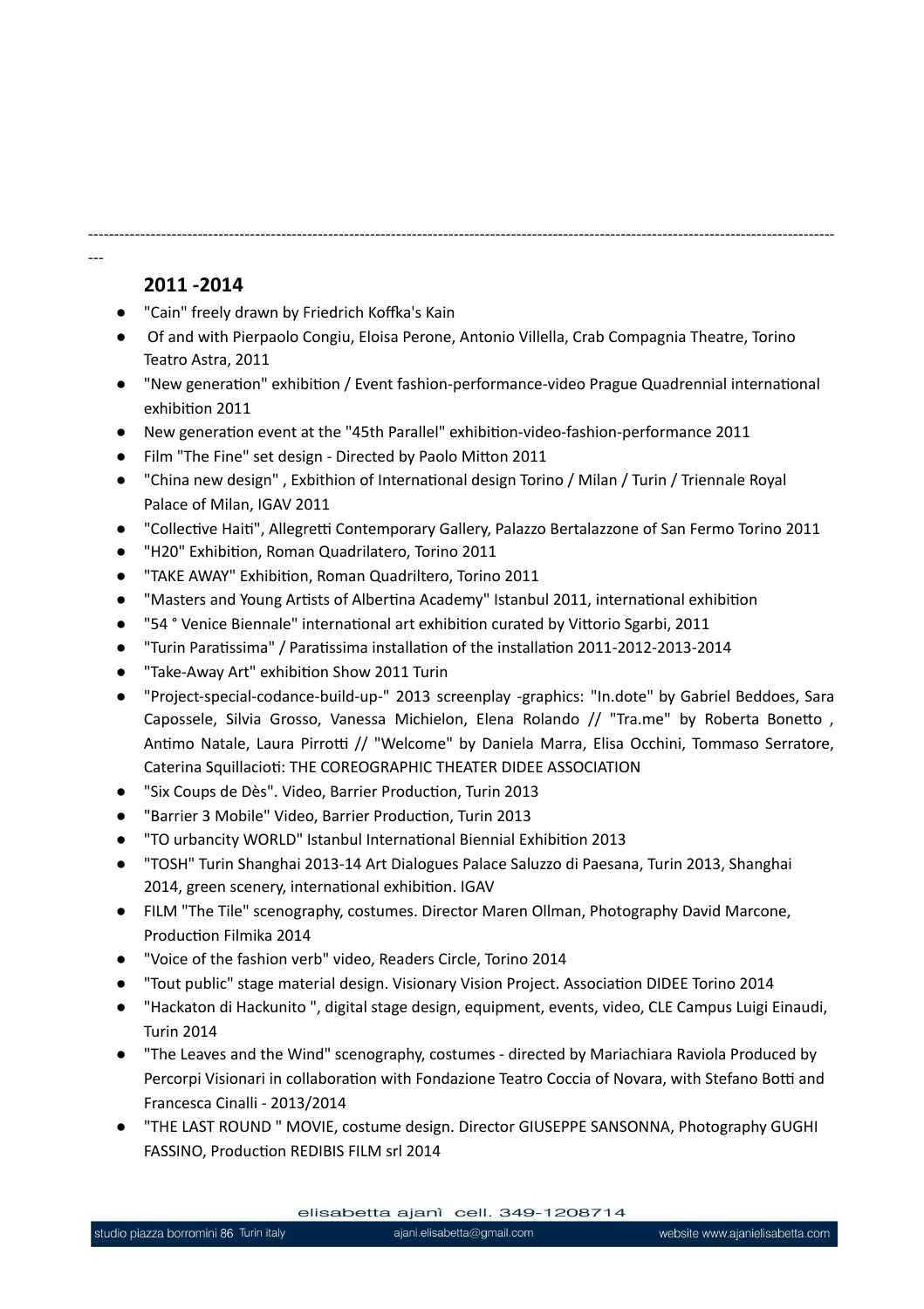## **2011 -2014**

---

- "Cain" freely drawn by Friedrich Koffka's Kain
- Of and with Pierpaolo Congiu, Eloisa Perone, Antonio Villella, Crab Compagnia Theatre, Torino Teatro Astra, 2011

-----------------------------------------------------------------------------------------------------------------------------------------------

- "New generation" exhibition / Event fashion-performance-video Prague Quadrennial international exhibition 2011
- New generation event at the "45th Parallel" exhibition-video-fashion-performance 2011
- Film "The Fine" set design Directed by Paolo Mitton 2011
- "China new design" , Exbithion of International design Torino / Milan / Turin / Triennale Royal Palace of Milan, IGAV 2011
- "Collective Haiti", Allegretti Contemporary Gallery, Palazzo Bertalazzone of San Fermo Torino 2011
- "H20" Exhibition, Roman Quadrilatero, Torino 2011
- "TAKE AWAY" Exhibition, Roman Quadriltero, Torino 2011
- "Masters and Young Artists of Albertina Academy" Istanbul 2011, international exhibition
- "54 ° Venice Biennale" international art exhibition curated by Vittorio Sgarbi, 2011
- "Turin Paratissima" / Paratissima installation of the installation 2011-2012-2013-2014
- "Take-Away Art" exhibition Show 2011 Turin
- "Project-special-codance-build-up-" 2013 screenplay -graphics: "In.dote" by Gabriel Beddoes, Sara Capossele, Silvia Grosso, Vanessa Michielon, Elena Rolando // "Tra.me" by Roberta Bonetto , Antimo Natale, Laura Pirrotti // "Welcome" by Daniela Marra, Elisa Occhini, Tommaso Serratore, Caterina Squillacioti: THE COREOGRAPHIC THEATER DIDEE ASSOCIATION
- "Six Coups de Dès". Video, Barrier Production, Turin 2013
- "Barrier 3 Mobile" Video, Barrier Production, Turin 2013
- "TO urbancity WORLD" Istanbul International Biennial Exhibition 2013
- "TOSH" Turin Shanghai 2013-14 Art Dialogues Palace Saluzzo di Paesana, Turin 2013, Shanghai 2014, green scenery, international exhibition. IGAV
- FILM "The Tile" scenography, costumes. Director Maren Ollman, Photography David Marcone, Production Filmika 2014
- "Voice of the fashion verb" video, Readers Circle, Torino 2014
- "Tout public" stage material design. Visionary Vision Project. Association DIDEE Torino 2014
- "Hackaton di Hackunito ", digital stage design, equipment, events, video, CLE Campus Luigi Einaudi, Turin 2014
- "The Leaves and the Wind" scenography, costumes directed by Mariachiara Raviola Produced by Percorpi Visionari in collaboration with Fondazione Teatro Coccia of Novara, with Stefano Botti and Francesca Cinalli - 2013/2014
- "THE LAST ROUND " MOVIE, costume design. Director GIUSEPPE SANSONNA, Photography GUGHI FASSINO, Production REDIBIS FILM srl 2014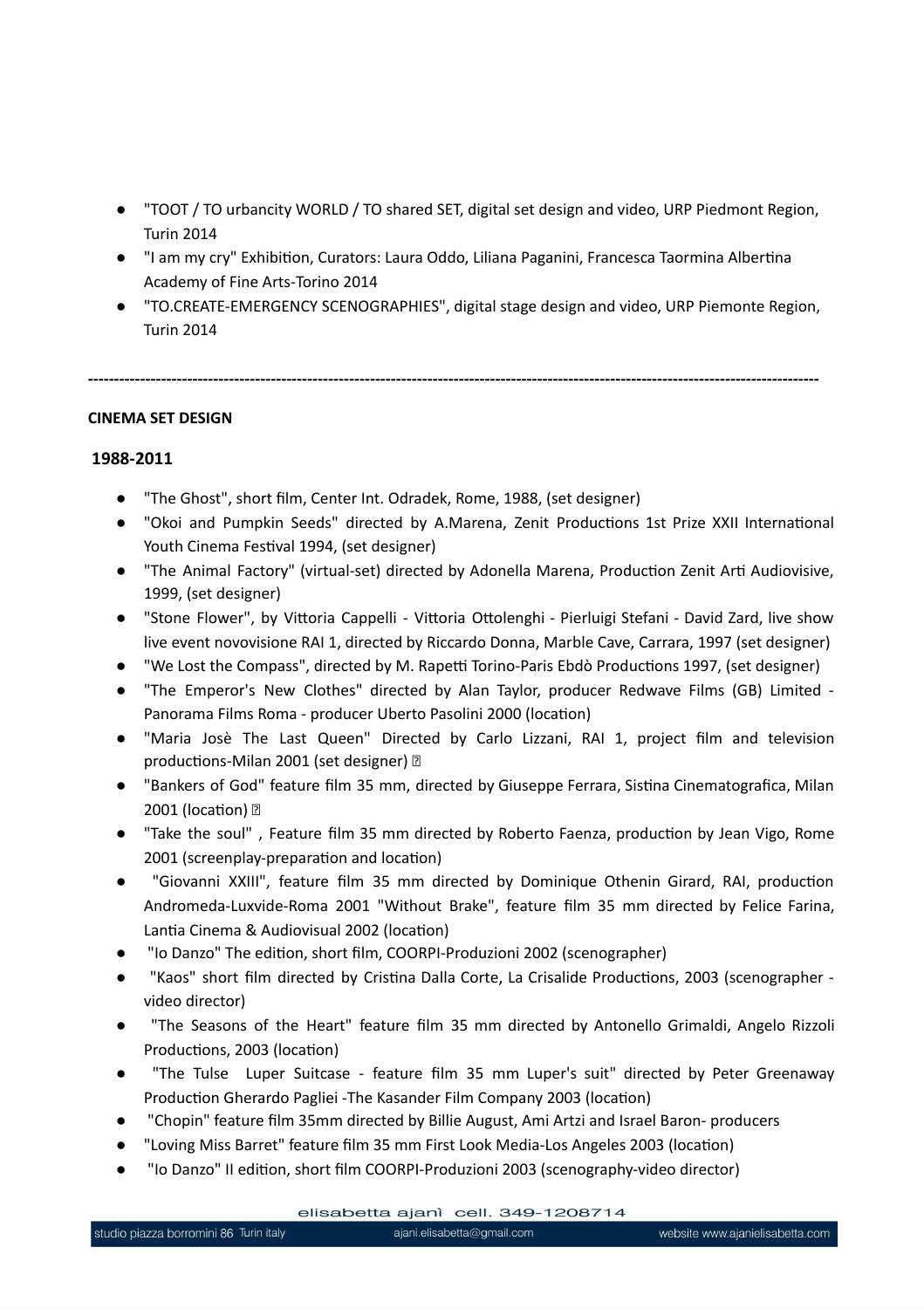- "TOOT / TO urbancity WORLD / TO shared SET, digital set design and video, URP Piedmont Region, Turin 2014
- "I am my cry" Exhibition, Curators: Laura Oddo, Liliana Paganini, Francesca Taormina Albertina Academy of Fine Arts-Torino 2014
- "TO.CREATE-EMERGENCY SCENOGRAPHIES", digital stage design and video, URP Piemonte Region, Turin 2014

**--------------------------------------------------------------------------------------------------------------------------------------------**

#### **CINEMA SET DESIGN**

#### **1988-2011**

- "The Ghost", short film, Center Int. Odradek, Rome, 1988, (set designer)
- "Okoi and Pumpkin Seeds" directed by A.Marena, Zenit Productions 1st Prize XXII International Youth Cinema Festival 1994, (set designer)
- "The Animal Factory" (virtual-set) directed by Adonella Marena, Production Zenit Arti Audiovisive, 1999, (set designer)
- "Stone Flower", by Vittoria Cappelli Vittoria Ottolenghi Pierluigi Stefani David Zard, live show live event novovisione RAI 1, directed by Riccardo Donna, Marble Cave, Carrara, 1997 (set designer)
- "We Lost the Compass", directed by M. Rapetti Torino-Paris Ebdò Productions 1997, (set designer)
- "The Emperor's New Clothes" directed by Alan Taylor, producer Redwave Films (GB) Limited Panorama Films Roma - producer Uberto Pasolini 2000 (location)
- "Maria Josè The Last Queen" Directed by Carlo Lizzani, RAI 1, project film and television productions-Milan 2001 (set designer)
- "Bankers of God" feature film 35 mm, directed by Giuseppe Ferrara, Sistina Cinematografica, Milan 2001 (location) **2**
- "Take the soul", Feature film 35 mm directed by Roberto Faenza, production by Jean Vigo, Rome 2001 (screenplay-preparation and location)
- "Giovanni XXIII", feature film 35 mm directed by Dominique Othenin Girard, RAI, production Andromeda-Luxvide-Roma 2001 "Without Brake", feature film 35 mm directed by Felice Farina, Lantia Cinema & Audiovisual 2002 (location)
- "Io Danzo" The edition, short film, COORPI-Produzioni 2002 (scenographer)
- "Kaos" short film directed by Cristina Dalla Corte, La Crisalide Productions, 2003 (scenographer video director)
- "The Seasons of the Heart" feature film 35 mm directed by Antonello Grimaldi, Angelo Rizzoli Productions, 2003 (location)
- "The Tulse Luper Suitcase feature film 35 mm Luper's suit" directed by Peter Greenaway Production Gherardo Pagliei -The Kasander Film Company 2003 (location)
- "Chopin" feature film 35mm directed by Billie August, Ami Artzi and Israel Baron- producers
- "Loving Miss Barret" feature film 35 mm First Look Media-Los Angeles 2003 (location)
- "Io Danzo" II edition, short film COORPI-Produzioni 2003 (scenography-video director)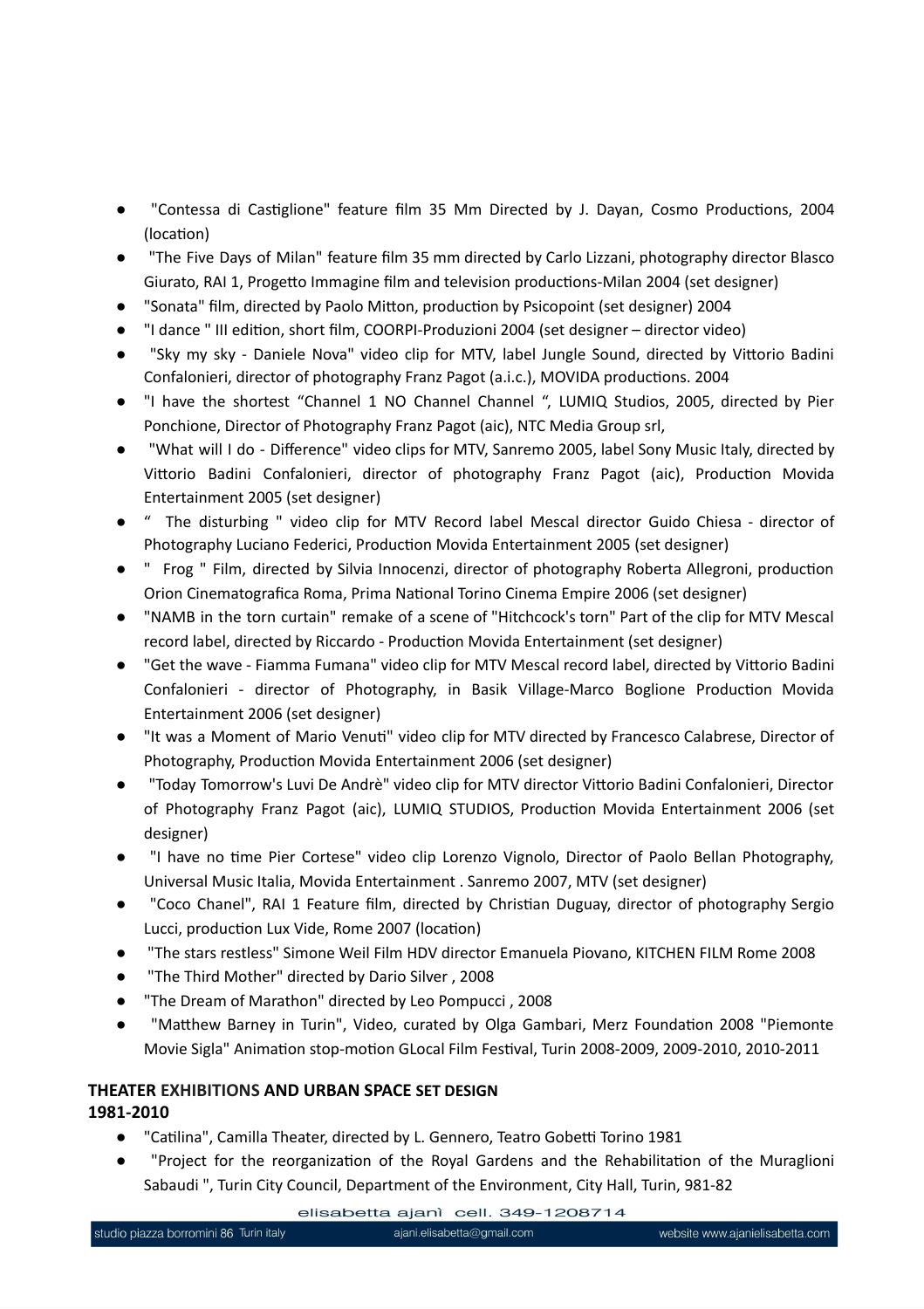- "Contessa di Castiglione" feature film 35 Mm Directed by J. Dayan, Cosmo Productions, 2004 (location)
- "The Five Days of Milan" feature film 35 mm directed by Carlo Lizzani, photography director Blasco Giurato, RAI 1, Progetto Immagine film and television productions-Milan 2004 (set designer)
- "Sonata" film, directed by Paolo Mitton, production by Psicopoint (set designer) 2004
- "I dance " III edition, short film, COORPI-Produzioni 2004 (set designer director video)
- "Sky my sky Daniele Nova" video clip for MTV, label Jungle Sound, directed by Vittorio Badini Confalonieri, director of photography Franz Pagot (a.i.c.), MOVIDA productions. 2004
- "I have the shortest "Channel 1 NO Channel Channel ", LUMIQ Studios, 2005, directed by Pier Ponchione, Director of Photography Franz Pagot (aic), NTC Media Group srl,
- "What will I do Difference" video clips for MTV, Sanremo 2005, label Sony Music Italy, directed by Vittorio Badini Confalonieri, director of photography Franz Pagot (aic), Production Movida Entertainment 2005 (set designer)
- " The disturbing " video clip for MTV Record label Mescal director Guido Chiesa director of Photography Luciano Federici, Production Movida Entertainment 2005 (set designer)
- " Frog " Film, directed by Silvia Innocenzi, director of photography Roberta Allegroni, production Orion Cinematografica Roma, Prima National Torino Cinema Empire 2006 (set designer)
- "NAMB in the torn curtain" remake of a scene of "Hitchcock's torn" Part of the clip for MTV Mescal record label, directed by Riccardo - Production Movida Entertainment (set designer)
- "Get the wave Fiamma Fumana" video clip for MTV Mescal record label, directed by Vittorio Badini Confalonieri - director of Photography, in Basik Village-Marco Boglione Production Movida Entertainment 2006 (set designer)
- "It was a Moment of Mario Venuti" video clip for MTV directed by Francesco Calabrese, Director of Photography, Production Movida Entertainment 2006 (set designer)
- "Today Tomorrow's Luvi De Andrè" video clip for MTV director Vittorio Badini Confalonieri, Director of Photography Franz Pagot (aic), LUMIQ STUDIOS, Production Movida Entertainment 2006 (set designer)
- "I have no time Pier Cortese" video clip Lorenzo Vignolo, Director of Paolo Bellan Photography, Universal Music Italia, Movida Entertainment . Sanremo 2007, MTV (set designer)
- "Coco Chanel", RAI 1 Feature film, directed by Christian Duguay, director of photography Sergio Lucci, production Lux Vide, Rome 2007 (location)
- "The stars restless" Simone Weil Film HDV director Emanuela Piovano, KITCHEN FILM Rome 2008
- "The Third Mother" directed by Dario Silver, 2008
- "The Dream of Marathon" directed by Leo Pompucci, 2008
- "Matthew Barney in Turin", Video, curated by Olga Gambari, Merz Foundation 2008 "Piemonte Movie Sigla" Animation stop-motion GLocal Film Festival, Turin 2008-2009, 2009-2010, 2010-2011

#### **THEATER EXHIBITIONS AND URBAN SPACE SET DESIGN 1981-2010**

- "Catilina", Camilla Theater, directed by L. Gennero, Teatro Gobetti Torino 1981
- "Project for the reorganization of the Royal Gardens and the Rehabilitation of the Muraglioni Sabaudi ", Turin City Council, Department of the Environment, City Hall, Turin, 981-82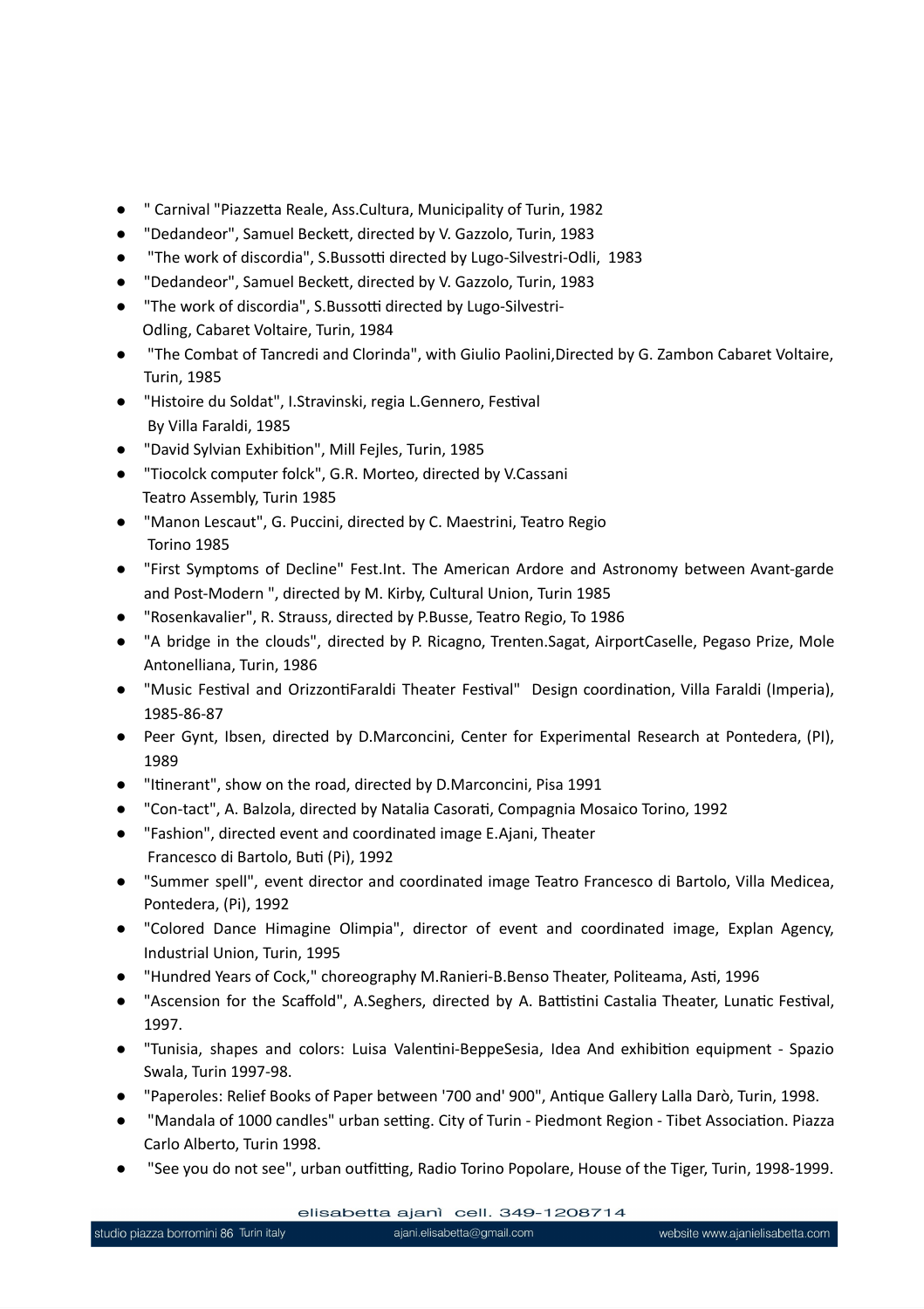- " Carnival "Piazzetta Reale, Ass.Cultura, Municipality of Turin, 1982
- "Dedandeor", Samuel Beckett, directed by V. Gazzolo, Turin, 1983
- "The work of discordia", S.Bussotti directed by Lugo-Silvestri-Odli, 1983
- "Dedandeor", Samuel Beckett, directed by V. Gazzolo, Turin, 1983
- "The work of discordia", S.Bussotti directed by Lugo-Silvestri-Odling, Cabaret Voltaire, Turin, 1984
- "The Combat of Tancredi and Clorinda", with Giulio Paolini,Directed by G. Zambon Cabaret Voltaire, Turin, 1985
- "Histoire du Soldat", I.Stravinski, regia L.Gennero, Festival By Villa Faraldi, 1985
- "David Sylvian Exhibition", Mill Fejles, Turin, 1985
- "Tiocolck computer folck", G.R. Morteo, directed by V.Cassani Teatro Assembly, Turin 1985
- "Manon Lescaut", G. Puccini, directed by C. Maestrini, Teatro Regio Torino 1985
- "First Symptoms of Decline" Fest.Int. The American Ardore and Astronomy between Avant-garde and Post-Modern ", directed by M. Kirby, Cultural Union, Turin 1985
- "Rosenkavalier", R. Strauss, directed by P.Busse, Teatro Regio, To 1986
- "A bridge in the clouds", directed by P. Ricagno, Trenten.Sagat, AirportCaselle, Pegaso Prize, Mole Antonelliana, Turin, 1986
- "Music Festival and OrizzontiFaraldi Theater Festival" Design coordination, Villa Faraldi (Imperia), 1985-86-87
- Peer Gynt, Ibsen, directed by D.Marconcini, Center for Experimental Research at Pontedera, (PI), 1989
- "Itinerant", show on the road, directed by D.Marconcini, Pisa 1991
- "Con-tact", A. Balzola, directed by Natalia Casorati, Compagnia Mosaico Torino, 1992
- "Fashion", directed event and coordinated image E.Ajani, Theater Francesco di Bartolo, Buti (Pi), 1992
- "Summer spell", event director and coordinated image Teatro Francesco di Bartolo, Villa Medicea, Pontedera, (Pi), 1992
- "Colored Dance Himagine Olimpia", director of event and coordinated image, Explan Agency, Industrial Union, Turin, 1995
- "Hundred Years of Cock," choreography M.Ranieri-B.Benso Theater, Politeama, Asti, 1996
- "Ascension for the Scaffold", A.Seghers, directed by A. Battistini Castalia Theater, Lunatic Festival, 1997.
- "Tunisia, shapes and colors: Luisa Valentini-BeppeSesia, Idea And exhibition equipment Spazio Swala, Turin 1997-98.
- "Paperoles: Relief Books of Paper between '700 and' 900", Antique Gallery Lalla Darò, Turin, 1998.
- "Mandala of 1000 candles" urban setting. City of Turin Piedmont Region Tibet Association. Piazza Carlo Alberto, Turin 1998.
- "See you do not see", urban outfitting, Radio Torino Popolare, House of the Tiger, Turin, 1998-1999.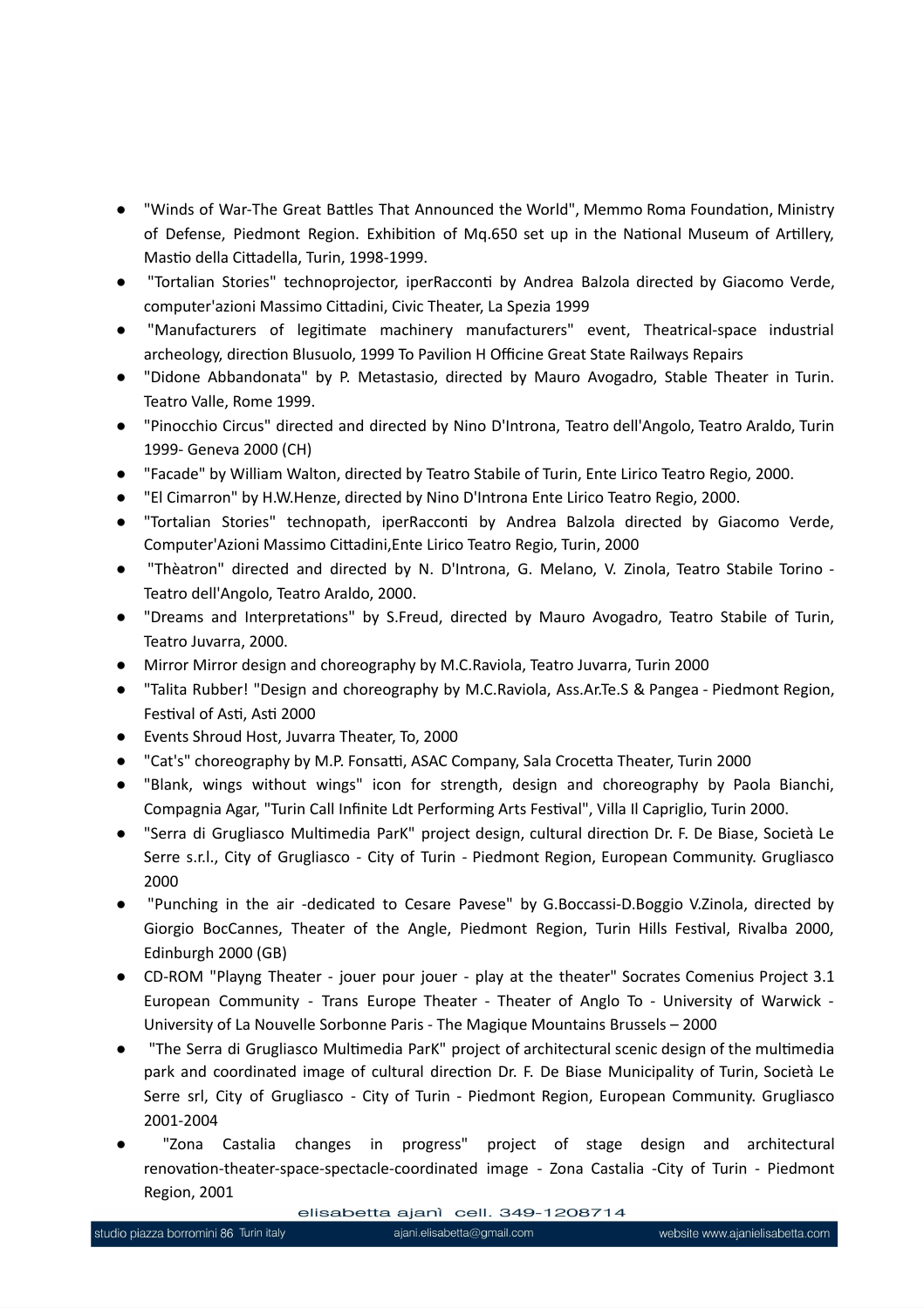- "Winds of War-The Great Battles That Announced the World", Memmo Roma Foundation, Ministry of Defense, Piedmont Region. Exhibition of Mq.650 set up in the National Museum of Artillery, Mastio della Cittadella, Turin, 1998-1999.
- "Tortalian Stories" technoprojector, iperRacconti by Andrea Balzola directed by Giacomo Verde, computer'azioni Massimo Cittadini, Civic Theater, La Spezia 1999
- "Manufacturers of legitimate machinery manufacturers" event, Theatrical-space industrial archeology, direction Blusuolo, 1999 To Pavilion H Officine Great State Railways Repairs
- "Didone Abbandonata" by P. Metastasio, directed by Mauro Avogadro, Stable Theater in Turin. Teatro Valle, Rome 1999.
- "Pinocchio Circus" directed and directed by Nino D'Introna, Teatro dell'Angolo, Teatro Araldo, Turin 1999- Geneva 2000 (CH)
- "Facade" by William Walton, directed by Teatro Stabile of Turin, Ente Lirico Teatro Regio, 2000.
- "El Cimarron" by H.W.Henze, directed by Nino D'Introna Ente Lirico Teatro Regio, 2000.
- "Tortalian Stories" technopath, iperRacconti by Andrea Balzola directed by Giacomo Verde, Computer'Azioni Massimo Cittadini,Ente Lirico Teatro Regio, Turin, 2000
- "Thèatron" directed and directed by N. D'Introna, G. Melano, V. Zinola, Teatro Stabile Torino Teatro dell'Angolo, Teatro Araldo, 2000.
- "Dreams and Interpretations" by S.Freud, directed by Mauro Avogadro, Teatro Stabile of Turin, Teatro Juvarra, 2000.
- Mirror Mirror design and choreography by M.C.Raviola, Teatro Juvarra, Turin 2000
- "Talita Rubber! "Design and choreography by M.C.Raviola, Ass.Ar.Te.S & Pangea Piedmont Region, Festival of Asti, Asti 2000
- Events Shroud Host, Juvarra Theater, To, 2000
- "Cat's" choreography by M.P. Fonsatti, ASAC Company, Sala Crocetta Theater, Turin 2000
- "Blank, wings without wings" icon for strength, design and choreography by Paola Bianchi, Compagnia Agar, "Turin Call Infinite Ldt Performing Arts Festival", Villa Il Capriglio, Turin 2000.
- "Serra di Grugliasco Multimedia ParK" project design, cultural direction Dr. F. De Biase, Società Le Serre s.r.l., City of Grugliasco - City of Turin - Piedmont Region, European Community. Grugliasco 2000
- "Punching in the air -dedicated to Cesare Pavese" by G.Boccassi-D.Boggio V.Zinola, directed by Giorgio BocCannes, Theater of the Angle, Piedmont Region, Turin Hills Festival, Rivalba 2000, Edinburgh 2000 (GB)
- CD-ROM "Playng Theater jouer pour jouer play at the theater" Socrates Comenius Project 3.1 European Community - Trans Europe Theater - Theater of Anglo To - University of Warwick - University of La Nouvelle Sorbonne Paris - The Magique Mountains Brussels – 2000
- "The Serra di Grugliasco Multimedia ParK" project of architectural scenic design of the multimedia park and coordinated image of cultural direction Dr. F. De Biase Municipality of Turin, Società Le Serre srl, City of Grugliasco - City of Turin - Piedmont Region, European Community. Grugliasco 2001-2004
- "Zona Castalia changes in progress" project of stage design and architectural renovation-theater-space-spectacle-coordinated image - Zona Castalia -City of Turin - Piedmont Region, 2001

elisabetta ajanì cell. 349-1208714

ajani.elisabetta@gmail.com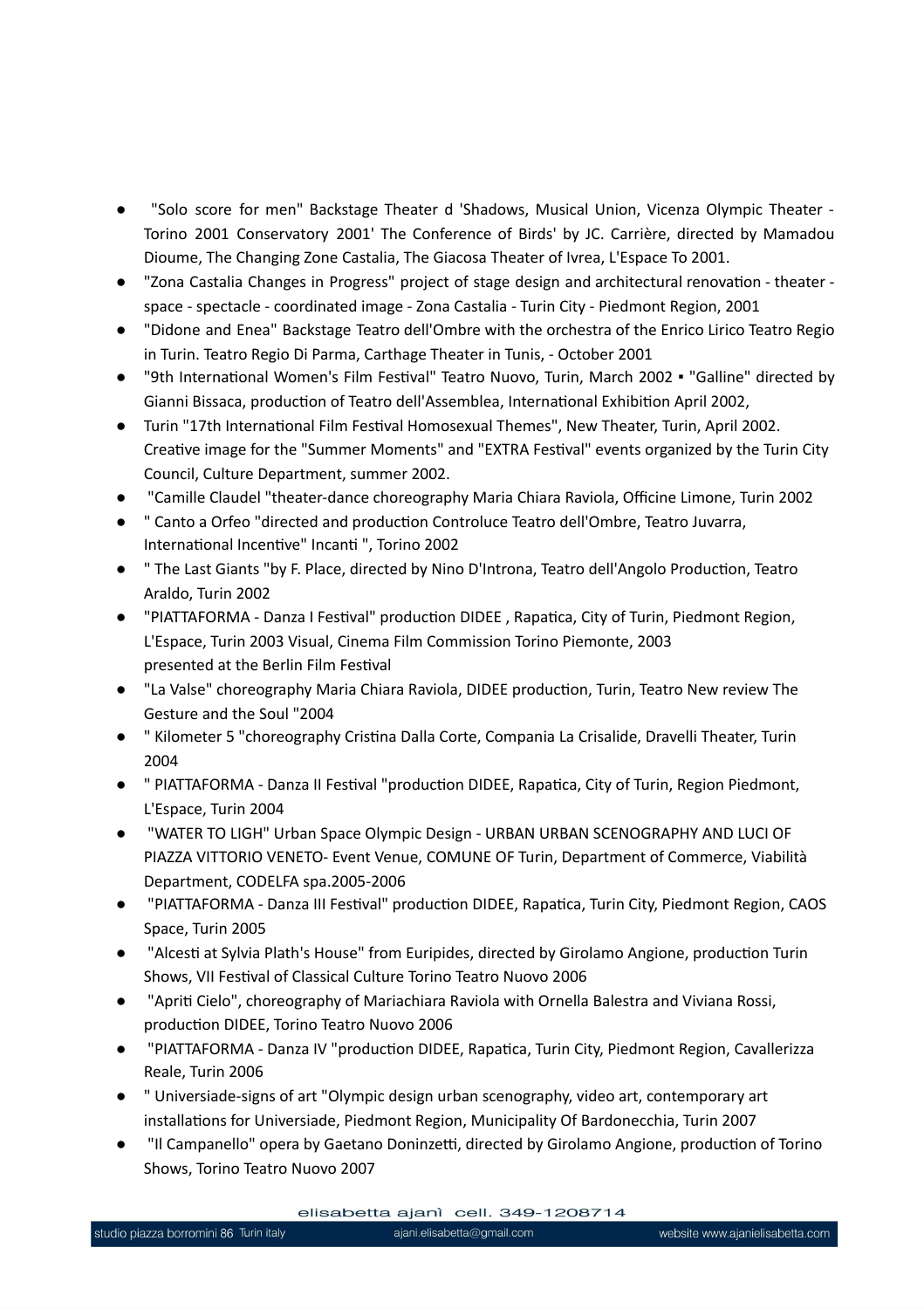- "Solo score for men" Backstage Theater d 'Shadows, Musical Union, Vicenza Olympic Theater -Torino 2001 Conservatory 2001' The Conference of Birds' by JC. Carrière, directed by Mamadou Dioume, The Changing Zone Castalia, The Giacosa Theater of Ivrea, L'Espace To 2001.
- "Zona Castalia Changes in Progress" project of stage design and architectural renovation theater space - spectacle - coordinated image - Zona Castalia - Turin City - Piedmont Region, 2001
- "Didone and Enea" Backstage Teatro dell'Ombre with the orchestra of the Enrico Lirico Teatro Regio in Turin. Teatro Regio Di Parma, Carthage Theater in Tunis, - October 2001
- "9th International Women's Film Festival" Teatro Nuovo, Turin, March 2002 · "Galline" directed by Gianni Bissaca, production of Teatro dell'Assemblea, International Exhibition April 2002,
- Turin "17th International Film Festival Homosexual Themes", New Theater, Turin, April 2002. Creative image for the "Summer Moments" and "EXTRA Festival" events organized by the Turin City Council, Culture Department, summer 2002.
- "Camille Claudel "theater-dance choreography Maria Chiara Raviola, Officine Limone, Turin 2002
- " Canto a Orfeo "directed and production Controluce Teatro dell'Ombre, Teatro Juvarra, International Incentive" Incanti ", Torino 2002
- " The Last Giants "by F. Place, directed by Nino D'Introna, Teatro dell'Angolo Production, Teatro Araldo, Turin 2002
- "PIATTAFORMA Danza I Festival" production DIDEE , Rapatica, City of Turin, Piedmont Region, L'Espace, Turin 2003 Visual, Cinema Film Commission Torino Piemonte, 2003 presented at the Berlin Film Festival
- "La Valse" choreography Maria Chiara Raviola, DIDEE production, Turin, Teatro New review The Gesture and the Soul "2004
- " Kilometer 5 "choreography Cristina Dalla Corte, Compania La Crisalide, Dravelli Theater, Turin 2004
- " PIATTAFORMA Danza II Festival "production DIDEE, Rapatica, City of Turin, Region Piedmont, L'Espace, Turin 2004
- "WATER TO LIGH" Urban Space Olympic Design URBAN URBAN SCENOGRAPHY AND LUCI OF PIAZZA VITTORIO VENETO- Event Venue, COMUNE OF Turin, Department of Commerce, Viabilità Department, CODELFA spa.2005-2006
- "PIATTAFORMA Danza III Festival" production DIDEE, Rapatica, Turin City, Piedmont Region, CAOS Space, Turin 2005
- "Alcesti at Sylvia Plath's House" from Euripides, directed by Girolamo Angione, production Turin Shows, VII Festival of Classical Culture Torino Teatro Nuovo 2006
- "Apriti Cielo", choreography of Mariachiara Raviola with Ornella Balestra and Viviana Rossi, production DIDEE, Torino Teatro Nuovo 2006
- "PIATTAFORMA Danza IV "production DIDEE, Rapatica, Turin City, Piedmont Region, Cavallerizza Reale, Turin 2006
- " Universiade-signs of art "Olympic design urban scenography, video art, contemporary art installations for Universiade, Piedmont Region, Municipality Of Bardonecchia, Turin 2007
- "Il Campanello" opera by Gaetano Doninzetti, directed by Girolamo Angione, production of Torino Shows, Torino Teatro Nuovo 2007

elisabetta ajanì cell. 349-1208714

ajani.elisabetta@gmail.com